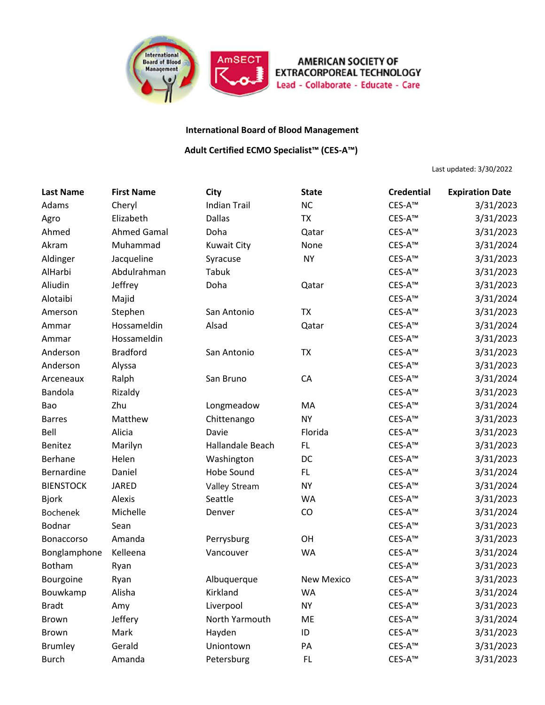

## **AMERICAN SOCIETY OF EXTRACORPOREAL TECHNOLOGY** Lead - Collaborate - Educate - Care

## **International Board of Blood Management**

## **Adult Certified ECMO Specialist™ (CES-A™)**

Last updated: 3/30/2022

| <b>Last Name</b> | <b>First Name</b>  | <b>City</b>         | <b>State</b>      | <b>Credential</b>  | <b>Expiration Date</b> |
|------------------|--------------------|---------------------|-------------------|--------------------|------------------------|
| Adams            | Cheryl             | <b>Indian Trail</b> | <b>NC</b>         | CES-A™             | 3/31/2023              |
| Agro             | Elizabeth          | <b>Dallas</b>       | <b>TX</b>         | CES-A <sup>™</sup> | 3/31/2023              |
| Ahmed            | <b>Ahmed Gamal</b> | Doha                | Qatar             | CES-A <sup>™</sup> | 3/31/2023              |
| Akram            | Muhammad           | <b>Kuwait City</b>  | None              | CES-A <sup>™</sup> | 3/31/2024              |
| Aldinger         | Jacqueline         | Syracuse            | <b>NY</b>         | CES-A <sup>™</sup> | 3/31/2023              |
| AlHarbi          | Abdulrahman        | Tabuk               |                   | CES-A <sup>™</sup> | 3/31/2023              |
| Aliudin          | Jeffrey            | Doha                | Qatar             | CES-A <sup>™</sup> | 3/31/2023              |
| Alotaibi         | Majid              |                     |                   | CES-A <sup>™</sup> | 3/31/2024              |
| Amerson          | Stephen            | San Antonio         | <b>TX</b>         | CES-A <sup>™</sup> | 3/31/2023              |
| Ammar            | Hossameldin        | Alsad               | Qatar             | CES-A <sup>™</sup> | 3/31/2024              |
| Ammar            | Hossameldin        |                     |                   | CES-A <sup>™</sup> | 3/31/2023              |
| Anderson         | <b>Bradford</b>    | San Antonio         | <b>TX</b>         | CES-A <sup>™</sup> | 3/31/2023              |
| Anderson         | Alyssa             |                     |                   | CES-A <sup>™</sup> | 3/31/2023              |
| Arceneaux        | Ralph              | San Bruno           | CA                | CES-A™             | 3/31/2024              |
| Bandola          | Rizaldy            |                     |                   | CES-A <sup>™</sup> | 3/31/2023              |
| Bao              | Zhu                | Longmeadow          | MA                | CES-A™             | 3/31/2024              |
| <b>Barres</b>    | Matthew            | Chittenango         | <b>NY</b>         | CES-A <sup>™</sup> | 3/31/2023              |
| Bell             | Alicia             | Davie               | Florida           | CES-A™             | 3/31/2023              |
| Benitez          | Marilyn            | Hallandale Beach    | <b>FL</b>         | CES-A <sup>™</sup> | 3/31/2023              |
| Berhane          | Helen              | Washington          | DC                | CES-A™             | 3/31/2023              |
| Bernardine       | Daniel             | Hobe Sound          | FL                | CES-A <sup>™</sup> | 3/31/2024              |
| <b>BIENSTOCK</b> | <b>JARED</b>       | Valley Stream       | <b>NY</b>         | CES-A™             | 3/31/2024              |
| <b>Bjork</b>     | Alexis             | Seattle             | WA                | CES-A <sup>™</sup> | 3/31/2023              |
| Bochenek         | Michelle           | Denver              | CO                | CES-A™             | 3/31/2024              |
| Bodnar           | Sean               |                     |                   | CES-A <sup>™</sup> | 3/31/2023              |
| Bonaccorso       | Amanda             | Perrysburg          | OH                | CES-A™             | 3/31/2023              |
| Bonglamphone     | Kelleena           | Vancouver           | WA                | CES-A <sup>™</sup> | 3/31/2024              |
| Botham           | Ryan               |                     |                   | CES-A™             | 3/31/2023              |
| Bourgoine        | Ryan               | Albuquerque         | <b>New Mexico</b> | CES-A <sup>™</sup> | 3/31/2023              |
| Bouwkamp         | Alisha             | Kirkland            | WA                | CES-A <sup>™</sup> | 3/31/2024              |
| <b>Bradt</b>     | Amy                | Liverpool           | <b>NY</b>         | CES-A <sup>™</sup> | 3/31/2023              |
| <b>Brown</b>     | Jeffery            | North Yarmouth      | ME                | CES-A <sup>™</sup> | 3/31/2024              |
| Brown            | Mark               | Hayden              | ID                | CES-A <sup>™</sup> | 3/31/2023              |
| <b>Brumley</b>   | Gerald             | Uniontown           | PA                | CES-A <sup>™</sup> | 3/31/2023              |
| <b>Burch</b>     | Amanda             | Petersburg          | FL.               | CES-A <sup>™</sup> | 3/31/2023              |
|                  |                    |                     |                   |                    |                        |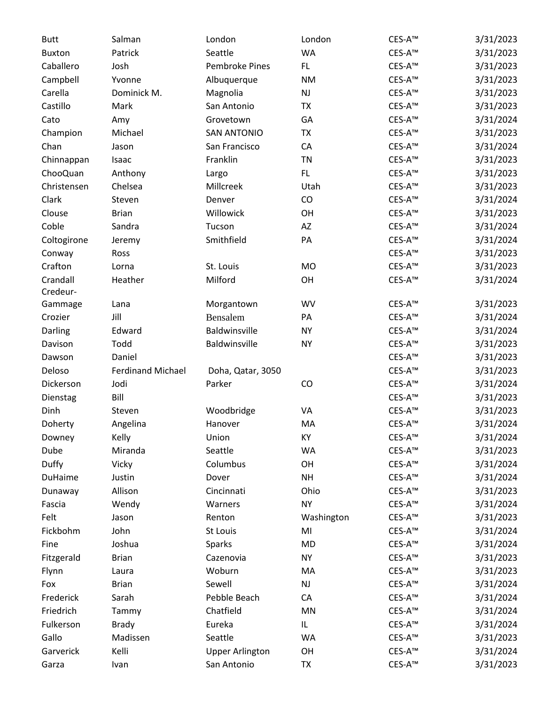| <b>Butt</b>   | Salman                   | London                 | London        | CES-A™             | 3/31/2023 |
|---------------|--------------------------|------------------------|---------------|--------------------|-----------|
| <b>Buxton</b> | Patrick                  | Seattle                | <b>WA</b>     | CES-A <sup>™</sup> | 3/31/2023 |
| Caballero     | Josh                     | <b>Pembroke Pines</b>  | FL.           | CES-A <sup>™</sup> | 3/31/2023 |
| Campbell      | Yvonne                   | Albuquerque            | <b>NM</b>     | CES-A <sup>™</sup> | 3/31/2023 |
| Carella       | Dominick M.              | Magnolia               | NJ            | CES-A <sup>™</sup> | 3/31/2023 |
| Castillo      | Mark                     | San Antonio            | TX            | CES-A™             | 3/31/2023 |
| Cato          | Amy                      | Grovetown              | GA            | CES-A <sup>™</sup> | 3/31/2024 |
| Champion      | Michael                  | <b>SAN ANTONIO</b>     | TX            | CES-A <sup>™</sup> | 3/31/2023 |
| Chan          | Jason                    | San Francisco          | CA            | CES-A <sup>™</sup> | 3/31/2024 |
| Chinnappan    | Isaac                    | Franklin               | <b>TN</b>     | CES-A™             | 3/31/2023 |
| ChooQuan      | Anthony                  | Largo                  | FL.           | CES-A <sup>™</sup> | 3/31/2023 |
| Christensen   | Chelsea                  | Millcreek              | Utah          | CES-A <sup>™</sup> | 3/31/2023 |
| Clark         | Steven                   | Denver                 | CO            | CES-A <sup>™</sup> | 3/31/2024 |
| Clouse        | <b>Brian</b>             | Willowick              | OH            | CES-A™             | 3/31/2023 |
| Coble         | Sandra                   | Tucson                 | AZ            | CES-A <sup>™</sup> | 3/31/2024 |
| Coltogirone   | Jeremy                   | Smithfield             | PA            | CES-A <sup>™</sup> | 3/31/2024 |
| Conway        | Ross                     |                        |               | CES-A <sup>™</sup> | 3/31/2023 |
| Crafton       | Lorna                    | St. Louis              | <b>MO</b>     | CES-A™             | 3/31/2023 |
| Crandall      | Heather                  | Milford                | OH            | CES-A <sup>™</sup> | 3/31/2024 |
| Credeur-      |                          |                        |               |                    |           |
| Gammage       | Lana                     | Morgantown             | WV            | CES-A <sup>™</sup> | 3/31/2023 |
| Crozier       | Jill                     | Bensalem               | PA            | CES-A <sup>™</sup> | 3/31/2024 |
| Darling       | Edward                   | Baldwinsville          | <b>NY</b>     | CES-A <sup>™</sup> | 3/31/2024 |
| Davison       | Todd                     | Baldwinsville          | <b>NY</b>     | CES-A <sup>™</sup> | 3/31/2023 |
| Dawson        | Daniel                   |                        |               | CES-A <sup>™</sup> | 3/31/2023 |
| Deloso        | <b>Ferdinand Michael</b> | Doha, Qatar, 3050      |               | CES-A <sup>™</sup> | 3/31/2023 |
| Dickerson     | Jodi                     | Parker                 | CO            | CES-A <sup>™</sup> | 3/31/2024 |
| Dienstag      | Bill                     |                        |               | CES-A <sup>™</sup> | 3/31/2023 |
| Dinh          | Steven                   | Woodbridge             | VA            | CES-A <sup>™</sup> | 3/31/2023 |
| Doherty       | Angelina                 | Hanover                | MA            | CES-A <sup>™</sup> | 3/31/2024 |
| Downey        | Kelly                    | Union                  | КY            | CES-A <sup>™</sup> | 3/31/2024 |
| Dube          | Miranda                  | Seattle                | <b>WA</b>     | CES-A™             | 3/31/2023 |
| Duffy         | Vicky                    | Columbus               | OH            | CES-A™             | 3/31/2024 |
| DuHaime       | Justin                   | Dover                  | <b>NH</b>     | CES-A <sup>™</sup> | 3/31/2024 |
| Dunaway       | Allison                  | Cincinnati             | Ohio          | CES-A™             | 3/31/2023 |
| Fascia        | Wendy                    | Warners                | <b>NY</b>     | CES-A <sup>™</sup> | 3/31/2024 |
| Felt          | Jason                    | Renton                 | Washington    | CES-A <sup>™</sup> | 3/31/2023 |
| Fickbohm      | John                     | St Louis               | MI            | CES-A <sup>™</sup> | 3/31/2024 |
| Fine          | Joshua                   | Sparks                 | <b>MD</b>     | CES-A <sup>™</sup> | 3/31/2024 |
| Fitzgerald    | <b>Brian</b>             | Cazenovia              | <b>NY</b>     | CES-A <sup>™</sup> | 3/31/2023 |
| Flynn         | Laura                    | Woburn                 | MA            | CES-A <sup>™</sup> | 3/31/2023 |
| Fox           | <b>Brian</b>             | Sewell                 | $\mathsf{NJ}$ | CES-A <sup>™</sup> | 3/31/2024 |
| Frederick     | Sarah                    | Pebble Beach           | CA            | CES-A <sup>™</sup> | 3/31/2024 |
| Friedrich     | Tammy                    | Chatfield              | MN            | CES-A <sup>™</sup> | 3/31/2024 |
| Fulkerson     | <b>Brady</b>             | Eureka                 | IL.           | CES-A <sup>™</sup> | 3/31/2024 |
| Gallo         | Madissen                 | Seattle                | <b>WA</b>     | CES-A <sup>™</sup> | 3/31/2023 |
| Garverick     | Kelli                    |                        | OH            | CES-A <sup>™</sup> | 3/31/2024 |
|               |                          | <b>Upper Arlington</b> |               |                    |           |
| Garza         | Ivan                     | San Antonio            | TX            | CES-A <sup>™</sup> | 3/31/2023 |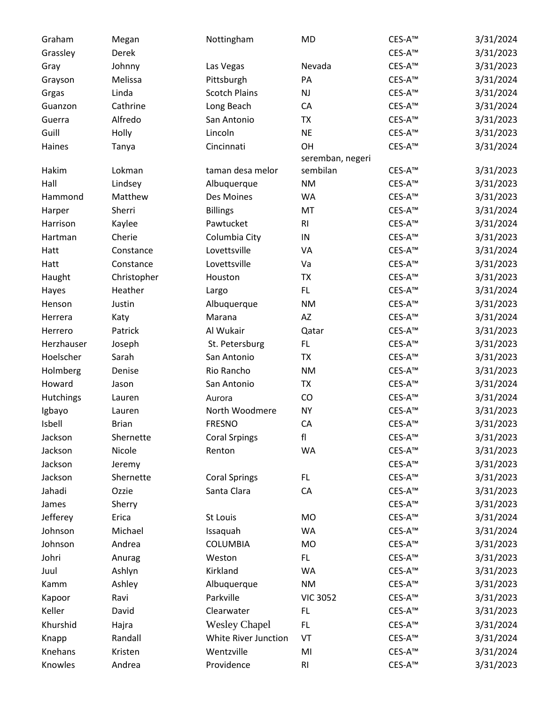| Graham     | Megan        | Nottingham           | <b>MD</b>        | CES-A <sup>™</sup> | 3/31/2024 |
|------------|--------------|----------------------|------------------|--------------------|-----------|
| Grassley   | Derek        |                      |                  | CES-A <sup>™</sup> | 3/31/2023 |
| Gray       | Johnny       | Las Vegas            | Nevada           | CES-A <sup>™</sup> | 3/31/2023 |
| Grayson    | Melissa      | Pittsburgh           | PA               | CES-A <sup>™</sup> | 3/31/2024 |
| Grgas      | Linda        | <b>Scotch Plains</b> | NJ               | CES-A <sup>™</sup> | 3/31/2024 |
| Guanzon    | Cathrine     | Long Beach           | CA               | CES-A <sup>™</sup> | 3/31/2024 |
| Guerra     | Alfredo      | San Antonio          | <b>TX</b>        | CES-A <sup>™</sup> | 3/31/2023 |
| Guill      | Holly        | Lincoln              | <b>NE</b>        | CES-A <sup>™</sup> | 3/31/2023 |
| Haines     | Tanya        | Cincinnati           | OH               | CES-A <sup>™</sup> | 3/31/2024 |
|            |              |                      | seremban, negeri |                    |           |
| Hakim      | Lokman       | taman desa melor     | sembilan         | CES-A <sup>™</sup> | 3/31/2023 |
| Hall       | Lindsey      | Albuquerque          | <b>NM</b>        | CES-A <sup>™</sup> | 3/31/2023 |
| Hammond    | Matthew      | Des Moines           | <b>WA</b>        | CES-A <sup>™</sup> | 3/31/2023 |
| Harper     | Sherri       | <b>Billings</b>      | MT               | CES-A <sup>™</sup> | 3/31/2024 |
| Harrison   | Kaylee       | Pawtucket            | R <sub>l</sub>   | CES-A <sup>™</sup> | 3/31/2024 |
| Hartman    | Cherie       | Columbia City        | ${\sf IN}$       | CES-A™             | 3/31/2023 |
| Hatt       | Constance    | Lovettsville         | VA               | CES-A <sup>™</sup> | 3/31/2024 |
| Hatt       | Constance    | Lovettsville         | Va               | CES-A <sup>™</sup> | 3/31/2023 |
| Haught     | Christopher  | Houston              | <b>TX</b>        | CES-A <sup>™</sup> | 3/31/2023 |
| Hayes      | Heather      | Largo                | FL.              | CES-A™             | 3/31/2024 |
| Henson     | Justin       | Albuquerque          | <b>NM</b>        | $CES-A™$           | 3/31/2023 |
| Herrera    | Katy         | Marana               | AZ               | CES-A <sup>™</sup> | 3/31/2024 |
| Herrero    | Patrick      | Al Wukair            | Qatar            | CES-A <sup>™</sup> | 3/31/2023 |
| Herzhauser | Joseph       | St. Petersburg       | FL.              | CES-A <sup>™</sup> | 3/31/2023 |
| Hoelscher  | Sarah        | San Antonio          | <b>TX</b>        | CES-A <sup>™</sup> | 3/31/2023 |
| Holmberg   | Denise       | Rio Rancho           | <b>NM</b>        | CES-A <sup>™</sup> | 3/31/2023 |
| Howard     | Jason        | San Antonio          | <b>TX</b>        | CES-A™             | 3/31/2024 |
| Hutchings  | Lauren       | Aurora               | CO               | CES-A <sup>™</sup> | 3/31/2024 |
| Igbayo     | Lauren       | North Woodmere       | <b>NY</b>        | $CES-A™$           | 3/31/2023 |
| Isbell     | <b>Brian</b> | <b>FRESNO</b>        | CA               | CES-A <sup>™</sup> | 3/31/2023 |
| Jackson    | Shernette    | <b>Coral Srpings</b> | f                | CES-A <sup>™</sup> | 3/31/2023 |
| Jackson    | Nicole       | Renton               | <b>WA</b>        | CES-A <sup>™</sup> | 3/31/2023 |
| Jackson    | Jeremy       |                      |                  | CES-A <sup>™</sup> | 3/31/2023 |
| Jackson    | Shernette    | <b>Coral Springs</b> | FL.              | CES-A <sup>™</sup> | 3/31/2023 |
| Jahadi     | Ozzie        | Santa Clara          | CA               | CES-A <sup>™</sup> | 3/31/2023 |
| James      | Sherry       |                      |                  | CES-A <sup>™</sup> | 3/31/2023 |
| Jefferey   | Erica        | St Louis             | <b>MO</b>        | CES-A <sup>™</sup> | 3/31/2024 |
| Johnson    | Michael      | Issaquah             | <b>WA</b>        | CES-A <sup>™</sup> | 3/31/2024 |
| Johnson    | Andrea       | <b>COLUMBIA</b>      | MO               | CES-A <sup>™</sup> | 3/31/2023 |
| Johri      | Anurag       | Weston               | FL.              | CES-A <sup>™</sup> | 3/31/2023 |
| Juul       | Ashlyn       | Kirkland             | WA               | CES-A <sup>™</sup> | 3/31/2023 |
| Kamm       | Ashley       | Albuquerque          | <b>NM</b>        | CES-A <sup>™</sup> | 3/31/2023 |
| Kapoor     | Ravi         | Parkville            | <b>VIC 3052</b>  | CES-A <sup>™</sup> | 3/31/2023 |
| Keller     | David        | Clearwater           | FL.              | CES-A <sup>™</sup> | 3/31/2023 |
| Khurshid   | Hajra        | <b>Wesley Chapel</b> | FL.              | CES-A <sup>™</sup> | 3/31/2024 |
| Knapp      | Randall      | White River Junction | VT               | CES-A <sup>™</sup> | 3/31/2024 |
| Knehans    | Kristen      | Wentzville           | MI               | $CES-A™$           | 3/31/2024 |
| Knowles    | Andrea       | Providence           | RI               | CES-A <sup>™</sup> | 3/31/2023 |
|            |              |                      |                  |                    |           |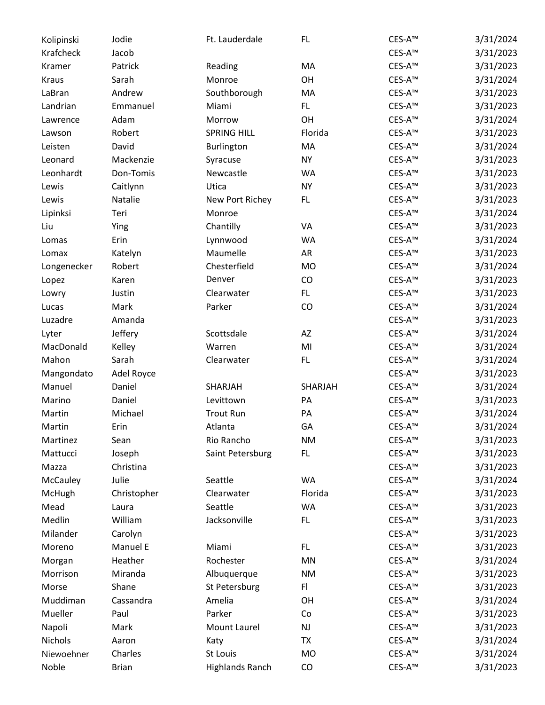| Kolipinski   | Jodie        | Ft. Lauderdale         | FL.            | CES-A <sup>™</sup> | 3/31/2024 |
|--------------|--------------|------------------------|----------------|--------------------|-----------|
| Krafcheck    | Jacob        |                        |                | CES-A™             | 3/31/2023 |
| Kramer       | Patrick      | Reading                | MA             | CES-A <sup>™</sup> | 3/31/2023 |
| <b>Kraus</b> | Sarah        | Monroe                 | OH             | CES-A™             | 3/31/2024 |
| LaBran       | Andrew       | Southborough           | MA             | CES-A™             | 3/31/2023 |
| Landrian     | Emmanuel     | Miami                  | FL.            | CES-A™             | 3/31/2023 |
| Lawrence     | Adam         | Morrow                 | OH             | CES-A <sup>™</sup> | 3/31/2024 |
| Lawson       | Robert       | <b>SPRING HILL</b>     | Florida        | CES-A <sup>™</sup> | 3/31/2023 |
| Leisten      | David        | Burlington             | MA             | CES-A™             | 3/31/2024 |
| Leonard      | Mackenzie    | Syracuse               | <b>NY</b>      | CES-A™             | 3/31/2023 |
| Leonhardt    | Don-Tomis    | Newcastle              | <b>WA</b>      | CES-A™             | 3/31/2023 |
| Lewis        | Caitlynn     | Utica                  | <b>NY</b>      | CES-A™             | 3/31/2023 |
| Lewis        | Natalie      | New Port Richey        | FL.            | CES-A <sup>™</sup> | 3/31/2023 |
| Lipinksi     | Teri         | Monroe                 |                | CES-A™             | 3/31/2024 |
| Liu          | Ying         | Chantilly              | VA             | CES-A <sup>™</sup> | 3/31/2023 |
| Lomas        | Erin         | Lynnwood               | <b>WA</b>      | CES-A <sup>™</sup> | 3/31/2024 |
| Lomax        | Katelyn      | Maumelle               | AR             | CES-A <sup>™</sup> | 3/31/2023 |
| Longenecker  | Robert       | Chesterfield           | <b>MO</b>      | CES-A™             | 3/31/2024 |
| Lopez        | Karen        | Denver                 | CO             | CES-A <sup>™</sup> | 3/31/2023 |
| Lowry        | Justin       | Clearwater             | FL.            | CES-A <sup>™</sup> | 3/31/2023 |
| Lucas        | Mark         | Parker                 | CO             | CES-A <sup>™</sup> | 3/31/2024 |
| Luzadre      | Amanda       |                        |                | CES-A™             | 3/31/2023 |
| Lyter        | Jeffery      | Scottsdale             | AZ             | CES-A <sup>™</sup> | 3/31/2024 |
| MacDonald    | Kelley       | Warren                 | M <sub>l</sub> | CES-A <sup>™</sup> | 3/31/2024 |
| Mahon        | Sarah        | Clearwater             | FL.            | CES-A <sup>™</sup> | 3/31/2024 |
| Mangondato   | Adel Royce   |                        |                | CES-A™             | 3/31/2023 |
| Manuel       | Daniel       | SHARJAH                | SHARJAH        | CES-A <sup>™</sup> | 3/31/2024 |
| Marino       | Daniel       | Levittown              | PA             | CES-A <sup>™</sup> | 3/31/2023 |
| Martin       | Michael      | <b>Trout Run</b>       | PA             | CES-A™             | 3/31/2024 |
| Martin       | Erin         | Atlanta                | GA             | CES-A <sup>™</sup> | 3/31/2024 |
| Martinez     | Sean         | Rio Rancho             | <b>NM</b>      | CES-A <sup>™</sup> | 3/31/2023 |
| Mattucci     | Joseph       | Saint Petersburg       | FL.            | CES-A™             | 3/31/2023 |
| Mazza        | Christina    |                        |                | CES-A <sup>™</sup> | 3/31/2023 |
| McCauley     | Julie        | Seattle                | <b>WA</b>      | CES-A™             | 3/31/2024 |
| McHugh       | Christopher  | Clearwater             | Florida        | CES-A <sup>™</sup> | 3/31/2023 |
| Mead         | Laura        | Seattle                | <b>WA</b>      | CES-A <sup>™</sup> | 3/31/2023 |
| Medlin       | William      | Jacksonville           | FL.            | CES-A <sup>™</sup> | 3/31/2023 |
| Milander     | Carolyn      |                        |                | CES-A™             | 3/31/2023 |
| Moreno       | Manuel E     | Miami                  | FL.            | CES-A <sup>™</sup> | 3/31/2023 |
| Morgan       | Heather      | Rochester              | MN             | CES-A™             | 3/31/2024 |
| Morrison     | Miranda      | Albuquerque            | <b>NM</b>      | CES-A <sup>™</sup> | 3/31/2023 |
| Morse        | Shane        | St Petersburg          | FI             | CES-A <sup>™</sup> | 3/31/2023 |
| Muddiman     | Cassandra    | Amelia                 | OH             | CES-A <sup>™</sup> | 3/31/2024 |
| Mueller      | Paul         | Parker                 | Co             | CES-A <sup>™</sup> | 3/31/2023 |
| Napoli       | Mark         | Mount Laurel           | NJ             | CES-A <sup>™</sup> | 3/31/2023 |
| Nichols      | Aaron        | Katy                   | <b>TX</b>      | CES-A <sup>™</sup> | 3/31/2024 |
| Niewoehner   | Charles      | St Louis               | <b>MO</b>      | CES-A <sup>™</sup> | 3/31/2024 |
| Noble        | <b>Brian</b> | <b>Highlands Ranch</b> | CO             | CES-A <sup>™</sup> | 3/31/2023 |
|              |              |                        |                |                    |           |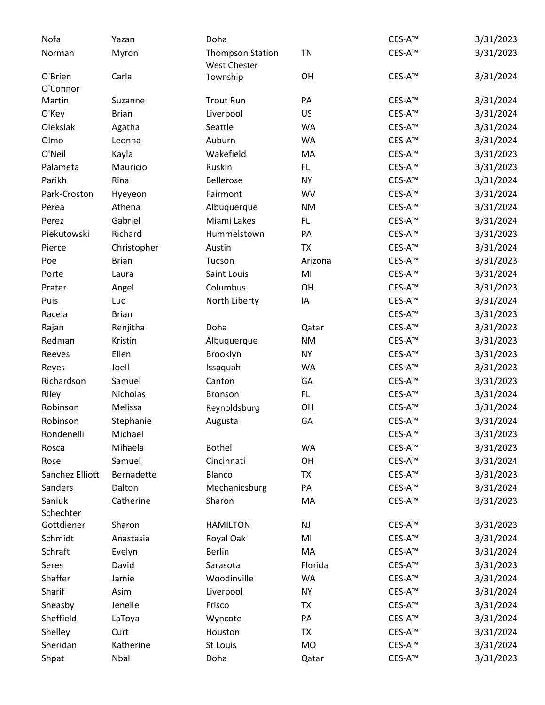| Nofal               | Yazan        | Doha                                    |           | CES-A <sup>™</sup> | 3/31/2023 |
|---------------------|--------------|-----------------------------------------|-----------|--------------------|-----------|
| Norman              | Myron        | <b>Thompson Station</b><br>West Chester | TN        | CES-A <sup>™</sup> | 3/31/2023 |
| O'Brien<br>O'Connor | Carla        | Township                                | OH        | CES-A <sup>™</sup> | 3/31/2024 |
| Martin              | Suzanne      | <b>Trout Run</b>                        | PA        | CES-A <sup>™</sup> | 3/31/2024 |
| O'Key               | <b>Brian</b> | Liverpool                               | <b>US</b> | CES-A <sup>™</sup> | 3/31/2024 |
| Oleksiak            | Agatha       | Seattle                                 | <b>WA</b> | CES-A <sup>™</sup> | 3/31/2024 |
| Olmo                | Leonna       | Auburn                                  | <b>WA</b> | CES-A <sup>™</sup> | 3/31/2024 |
| O'Neil              | Kayla        | Wakefield                               | MA        | CES-A <sup>™</sup> | 3/31/2023 |
| Palameta            | Mauricio     | Ruskin                                  | FL.       | CES-A <sup>™</sup> | 3/31/2023 |
| Parikh              | Rina         | Bellerose                               | <b>NY</b> | CES-A <sup>™</sup> | 3/31/2024 |
| Park-Croston        | Hyeyeon      | Fairmont                                | <b>WV</b> | CES-A <sup>™</sup> | 3/31/2024 |
| Perea               | Athena       | Albuquerque                             | <b>NM</b> | CES-A <sup>™</sup> | 3/31/2024 |
| Perez               | Gabriel      | Miami Lakes                             | FL.       | CES-A <sup>™</sup> | 3/31/2024 |
| Piekutowski         | Richard      | Hummelstown                             | PA        | CES-A <sup>™</sup> | 3/31/2023 |
| Pierce              | Christopher  | Austin                                  | <b>TX</b> | CES-A <sup>™</sup> | 3/31/2024 |
| Poe                 | <b>Brian</b> | Tucson                                  | Arizona   | CES-A™             | 3/31/2023 |
| Porte               | Laura        | Saint Louis                             | MI        | CES-A <sup>™</sup> | 3/31/2024 |
| Prater              | Angel        | Columbus                                | OH        | CES-A™             | 3/31/2023 |
| Puis                | Luc          | North Liberty                           | IA        | CES-A <sup>™</sup> | 3/31/2024 |
| Racela              | <b>Brian</b> |                                         |           | CES-A <sup>™</sup> | 3/31/2023 |
| Rajan               | Renjitha     | Doha                                    | Qatar     | CES-A <sup>™</sup> | 3/31/2023 |
| Redman              | Kristin      | Albuquerque                             | <b>NM</b> | CES-A <sup>™</sup> | 3/31/2023 |
| Reeves              | Ellen        | Brooklyn                                | <b>NY</b> | CES-A <sup>™</sup> | 3/31/2023 |
| Reyes               | Joell        | Issaquah                                | <b>WA</b> | CES-A <sup>™</sup> | 3/31/2023 |
| Richardson          | Samuel       | Canton                                  | GA        | CES-A <sup>™</sup> | 3/31/2023 |
| Riley               | Nicholas     | Bronson                                 | FL.       | CES-A™             | 3/31/2024 |
| Robinson            | Melissa      | Reynoldsburg                            | OH        | CES-A <sup>™</sup> | 3/31/2024 |
| Robinson            | Stephanie    | Augusta                                 | GA        | CES-A <sup>™</sup> | 3/31/2024 |
| Rondenelli          | Michael      |                                         |           | CES-A™             | 3/31/2023 |
| Rosca               | Mihaela      | <b>Bothel</b>                           | <b>WA</b> | CES-A <sup>™</sup> | 3/31/2023 |
| Rose                | Samuel       | Cincinnati                              | OH        | CES-A <sup>™</sup> | 3/31/2024 |
| Sanchez Elliott     | Bernadette   | Blanco                                  | <b>TX</b> | CES-A <sup>™</sup> | 3/31/2023 |
| Sanders             | Dalton       | Mechanicsburg                           | PA        | CES-A <sup>™</sup> | 3/31/2024 |
| Saniuk              | Catherine    | Sharon                                  | MA        | CES-A <sup>™</sup> | 3/31/2023 |
| Schechter           |              |                                         |           |                    |           |
| Gottdiener          | Sharon       | <b>HAMILTON</b>                         | NJ        | CES-A <sup>™</sup> | 3/31/2023 |
| Schmidt             | Anastasia    | Royal Oak                               | MI        | CES-A <sup>™</sup> | 3/31/2024 |
| Schraft             | Evelyn       | <b>Berlin</b>                           | MA        | CES-A <sup>™</sup> | 3/31/2024 |
| Seres               | David        | Sarasota                                | Florida   | CES-A <sup>™</sup> | 3/31/2023 |
| Shaffer             | Jamie        | Woodinville                             | <b>WA</b> | CES-A <sup>™</sup> | 3/31/2024 |
| Sharif              | Asim         | Liverpool                               | <b>NY</b> | CES-A <sup>™</sup> | 3/31/2024 |
| Sheasby             | Jenelle      | Frisco                                  | <b>TX</b> | CES-A <sup>™</sup> | 3/31/2024 |
| Sheffield           | LaToya       | Wyncote                                 | PA        | CES-A <sup>™</sup> | 3/31/2024 |
| Shelley             | Curt         | Houston                                 | <b>TX</b> | CES-A <sup>™</sup> | 3/31/2024 |
| Sheridan            | Katherine    | St Louis                                | <b>MO</b> | CES-A™             | 3/31/2024 |
| Shpat               | Nbal         | Doha                                    | Qatar     | CES-A <sup>™</sup> | 3/31/2023 |